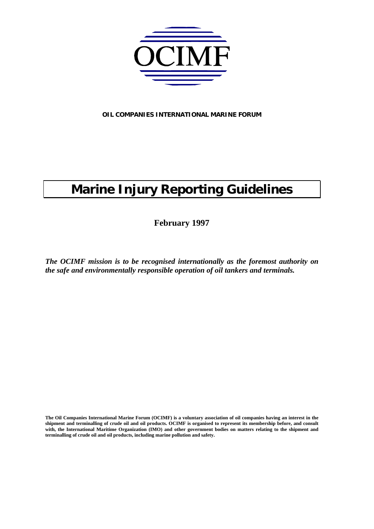

**OIL COMPANIES INTERNATIONAL MARINE FORUM**

# **Marine Injury Reporting Guidelines**

**February 1997**

*The OCIMF mission is to be recognised internationally as the foremost authority on the safe and environmentally responsible operation of oil tankers and terminals.*

**The Oil Companies International Marine Forum (OCIMF) is a voluntary association of oil companies having an interest in the** shipment and terminalling of crude oil and oil products. OCIMF is organised to represent its membership before, and consult **with, the International Maritime Organization (IMO) and other government bodies on matters relating to the shipment and terminalling of crude oil and oil products, including marine pollution and safety.**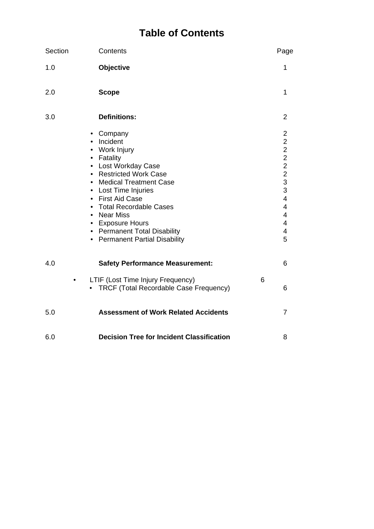### **Table of Contents**

| Section | Contents                                                                                                                                                                                                                                                                                                         |   | Page                                                                                                                                                    |
|---------|------------------------------------------------------------------------------------------------------------------------------------------------------------------------------------------------------------------------------------------------------------------------------------------------------------------|---|---------------------------------------------------------------------------------------------------------------------------------------------------------|
| 1.0     | Objective                                                                                                                                                                                                                                                                                                        |   | 1                                                                                                                                                       |
| 2.0     | <b>Scope</b>                                                                                                                                                                                                                                                                                                     |   | 1                                                                                                                                                       |
| 3.0     | <b>Definitions:</b>                                                                                                                                                                                                                                                                                              |   | $\overline{2}$                                                                                                                                          |
|         | • Company<br>• Incident<br>• Work Injury<br>• Fatality<br>• Lost Workday Case<br>• Restricted Work Case<br>• Medical Treatment Case<br>• Lost Time Injuries<br>• First Aid Case<br>• Total Recordable Cases<br>• Near Miss<br>• Exposure Hours<br>• Permanent Total Disability<br>• Permanent Partial Disability |   | $\overline{2}$<br>$\overline{c}$<br>$\overline{c}$<br>$\overline{2}$<br>$\overline{2}$<br>$\frac{2}{3}$<br>3<br>$\overline{4}$<br>4<br>4<br>4<br>4<br>5 |
| 4.0     | <b>Safety Performance Measurement:</b>                                                                                                                                                                                                                                                                           |   | 6                                                                                                                                                       |
|         | LTIF (Lost Time Injury Frequency)<br>TRCF (Total Recordable Case Frequency)                                                                                                                                                                                                                                      | 6 | 6                                                                                                                                                       |
| 5.0     | <b>Assessment of Work Related Accidents</b>                                                                                                                                                                                                                                                                      |   | $\overline{7}$                                                                                                                                          |
| 6.0     | <b>Decision Tree for Incident Classification</b>                                                                                                                                                                                                                                                                 |   | 8                                                                                                                                                       |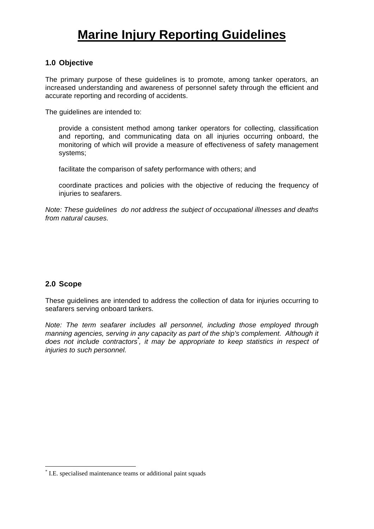## **Marine Injury Reporting Guidelines**

#### **1.0 Objective**

The primary purpose of these guidelines is to promote, among tanker operators, an increased understanding and awareness of personnel safety through the efficient and accurate reporting and recording of accidents.

The guidelines are intended to:

provide a consistent method among tanker operators for collecting, classification and reporting, and communicating data on all injuries occurring onboard, the monitoring of which will provide a measure of effectiveness of safety management systems;

facilitate the comparison of safety performance with others; and

coordinate practices and policies with the objective of reducing the frequency of injuries to seafarers.

*Note: These guidelines do not address the subject of occupational illnesses and deaths from natural causes.*

#### **2.0 Scope**

 $\overline{a}$ 

These guidelines are intended to address the collection of data for injuries occurring to seafarers serving onboard tankers.

*Note: The term seafarer includes all personnel, including those employed through manning agencies, serving in any capacity as part of the ship's complement. Although it does not include contractors\* , it may be appropriate to keep statistics in respect of injuries to such personnel.*

<sup>\*</sup> I.E. specialised maintenance teams or additional paint squads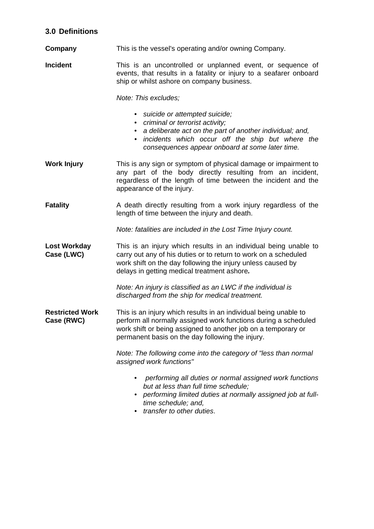### **3.0 Definitions**

- **Company** This is the vessel's operating and/or owning Company.
- **Incident** This is an uncontrolled or unplanned event, or sequence of events, that results in a fatality or injury to a seafarer onboard ship or whilst ashore on company business.

*Note: This excludes;*

- *• suicide or attempted suicide;*
- *• criminal or terrorist activity;*
- *• a deliberate act on the part of another individual; and,*
- *• incidents which occur off the ship but where the consequences appear onboard at some later time.*
- **Work Injury** This is any sign or symptom of physical damage or impairment to any part of the body directly resulting from an incident, regardless of the length of time between the incident and the appearance of the injury.
- **Fatality** A death directly resulting from a work injury regardless of the length of time between the injury and death.

*Note: fatalities are included in the Lost Time Injury count.*

**Lost Workday** This is an injury which results in an individual being unable to **Case (LWC)** carry out any of his duties or to return to work on a scheduled work shift on the day following the injury unless caused by delays in getting medical treatment ashore*.*

> *Note: An injury is classified as an LWC if the individual is discharged from the ship for medical treatment.*

**Restricted Work** This is an injury which results in an individual being unable to **Case (RWC)** perform all normally assigned work functions during a scheduled work shift or being assigned to another job on a temporary or permanent basis on the day following the injury.

> *Note: The following come into the category of "less than normal assigned work functions"*

- *performing all duties or normal assigned work functions but at less than full time schedule;*
- *• performing limited duties at normally assigned job at fulltime schedule; and,*
- *• transfer to other duties*.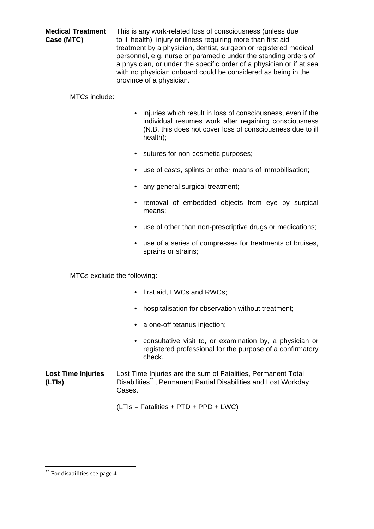**Medical Treatment** This is any work-related loss of consciousness (unless due **Case (MTC)** to ill health), injury or illness requiring more than first aid treatment by a physician, dentist, surgeon or registered medical personnel, e.g. nurse or paramedic under the standing orders of a physician, or under the specific order of a physician or if at sea with no physician onboard could be considered as being in the province of a physician.

#### MTCs include:

- injuries which result in loss of consciousness, even if the individual resumes work after regaining consciousness (N.B. this does not cover loss of consciousness due to ill health);
- sutures for non-cosmetic purposes;
- use of casts, splints or other means of immobilisation;
- any general surgical treatment;
- removal of embedded objects from eye by surgical means;
- use of other than non-prescriptive drugs or medications;
- use of a series of compresses for treatments of bruises, sprains or strains;

MTCs exclude the following:

- first aid, LWCs and RWCs;
- hospitalisation for observation without treatment;
- a one-off tetanus injection;
- consultative visit to, or examination by, a physician or registered professional for the purpose of a confirmatory check.
- **Lost Time Injuries** Lost Time Injuries are the sum of Fatalities, Permanent Total **(LTIs)** Disabilities\*\* , Permanent Partial Disabilities and Lost Workday Cases.
	- (LTIs = Fatalities + PTD + PPD + LWC)

 $\overline{a}$ 

<sup>\*\*</sup> For disabilities see page 4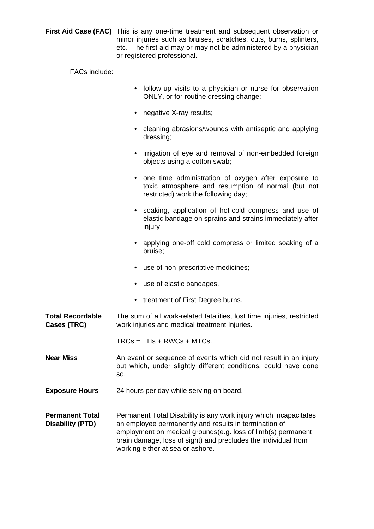**First Aid Case (FAC)** This is any one-time treatment and subsequent observation or minor injuries such as bruises, scratches, cuts, burns, splinters, etc. The first aid may or may not be administered by a physician or registered professional.

FACs include:

- follow-up visits to a physician or nurse for observation ONLY, or for routine dressing change;
- negative X-ray results;
- cleaning abrasions/wounds with antiseptic and applying dressing;
- irrigation of eye and removal of non-embedded foreign objects using a cotton swab;
- one time administration of oxygen after exposure to toxic atmosphere and resumption of normal (but not restricted) work the following day;
- soaking, application of hot-cold compress and use of elastic bandage on sprains and strains immediately after injury;
- applying one-off cold compress or limited soaking of a bruise;
- use of non-prescriptive medicines;
- use of elastic bandages,
- treatment of First Degree burns.

**Total Recordable** The sum of all work-related fatalities, lost time injuries, restricted **Cases (TRC)** work injuries and medical treatment Injuries.

 $TRCs = LTls + RWCs + MTCs.$ 

- **Near Miss** An event or sequence of events which did not result in an injury but which, under slightly different conditions, could have done so.
- **Exposure Hours** 24 hours per day while serving on board.

**Permanent Total** Permanent Total Disability is any work injury which incapacitates **Disability (PTD)** an employee permanently and results in termination of employment on medical grounds(e.g. loss of limb(s) permanent brain damage, loss of sight) and precludes the individual from working either at sea or ashore.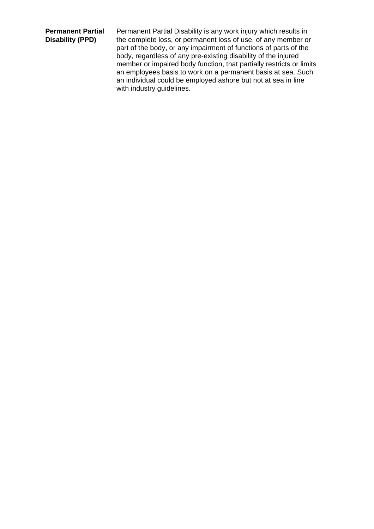**Permanent Partial** Permanent Partial Disability is any work injury which results in **Disability (PPD)** the complete loss, or permanent loss of use, of any member or part of the body, or any impairment of functions of parts of the body, regardless of any pre-existing disability of the injured member or impaired body function, that partially restricts or limits an employees basis to work on a permanent basis at sea. Such an individual could be employed ashore but not at sea in line with industry guidelines.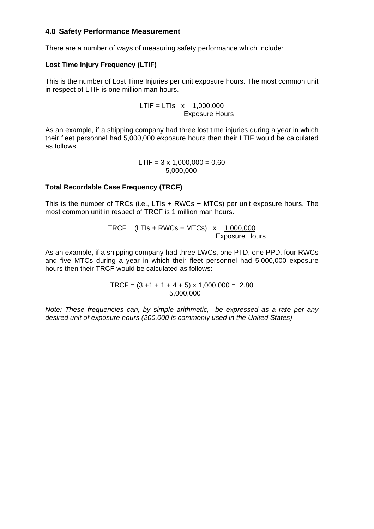#### **4.0 Safety Performance Measurement**

There are a number of ways of measuring safety performance which include:

#### **Lost Time Injury Frequency (LTIF)**

This is the number of Lost Time Injuries per unit exposure hours. The most common unit in respect of LTIF is one million man hours.

> $LTIF = LTIs$  x 1,000,000 Exposure Hours

As an example, if a shipping company had three lost time injuries during a year in which their fleet personnel had 5,000,000 exposure hours then their LTIF would be calculated as follows:

> $LTIF = 3 \times 1,000,000 = 0.60$ 5,000,000

#### **Total Recordable Case Frequency (TRCF)**

This is the number of TRCs (i.e., LTIs + RWCs + MTCs) per unit exposure hours. The most common unit in respect of TRCF is 1 million man hours.

> $TRCF = (LTIs + RWCs + MTCs)$  x 1,000,000 Exposure Hours

As an example, if a shipping company had three LWCs, one PTD, one PPD, four RWCs and five MTCs during a year in which their fleet personnel had 5,000,000 exposure hours then their TRCF would be calculated as follows:

> TRCF =  $(3 + 1 + 1 + 4 + 5) \times 1,000,000 = 2.80$  $5,000,000$

*Note: These frequencies can, by simple arithmetic, be expressed as a rate per any desired unit of exposure hours (200,000 is commonly used in the United States)*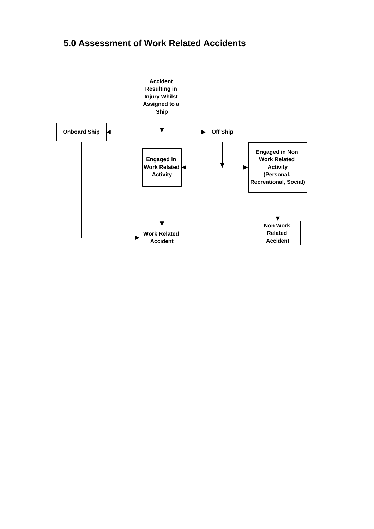### **5.0 Assessment of Work Related Accidents**

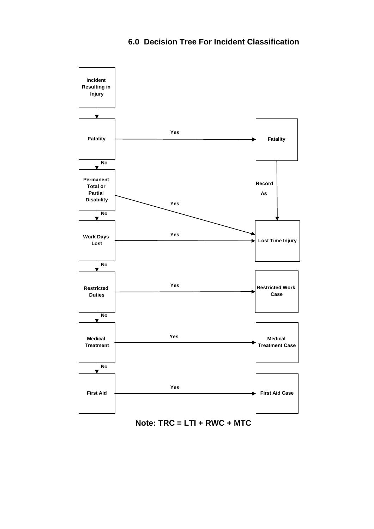